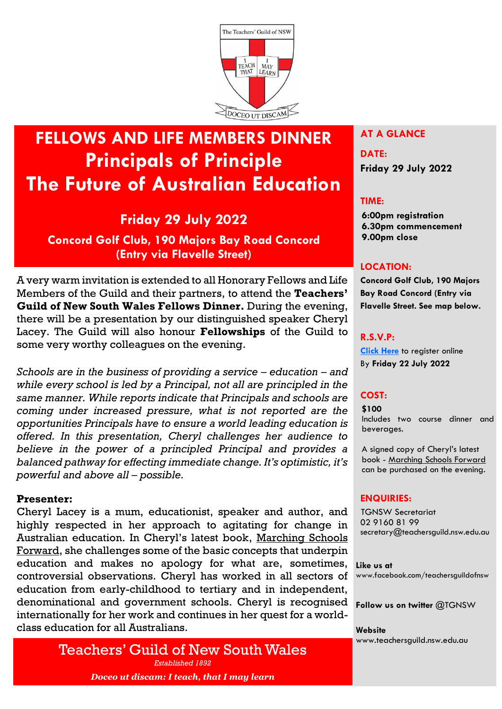

# **FELLOWS AND LIFE MEMBERS DINNER Principals of Principle The Future of Australian Education**

# **Friday 29 July 2022**

**Concord Golf Club, 190 Majors Bay Road Concord (Entry via Flavelle Street)**

A very warm invitation is extended to all Honorary Fellows and Life Members of the Guild and their partners, to attend the **Teachers' Guild of New South Wales Fellows Dinner.** During the evening, there will be a presentation by our distinguished speaker Cheryl Lacey. The Guild will also honour **Fellowships** of the Guild to some very worthy colleagues on the evening.

*Schools are in the business of providing a service – education – and while every school is led by a Principal, not all are principled in the same manner. While reports indicate that Principals and schools are coming under increased pressure, what is not reported are the opportunities Principals have to ensure a world leading education is offered. In this presentation, Cheryl challenges her audience to believe in the power of a principled Principal and provides a balanced pathway for effecting immediate change. It's optimistic, it's powerful and above all – possible.*

#### **Presenter:**

Cheryl Lacey is a mum, educationist, speaker and author, and highly respected in her approach to agitating for change in Australian education. In Cheryl's latest book, Marching Schools Forward, she challenges some of the basic concepts that underpin education and makes no apology for what are, sometimes, controversial observations. Cheryl has worked in all sectors of education from early-childhood to tertiary and in independent, denominational and government schools. Cheryl is recognised internationally for her work and continues in her quest for a worldclass education for all Australians.

> Teachers' Guild of New South Wales *Established 1892 Doceo ut discam: I teach, that I may learn*

### **AT A GLANCE**

# **DATE: Friday 29 July 2022**

#### **TIME:**

**6:00pm registration 6.30pm commencement 9.00pm close**

#### **LOCATION:**

**Concord Golf Club, 190 Majors Bay Road Concord (Entry via Flavelle Street. See map below.**

#### **R.S.V.P:**

**[Click Here](https://tas.currinda.com/register/event/2240)** to register online By **Friday 22 July 2022**

# **COST:**

**\$100** Includes two course dinner and beverages.

A signed copy of Cheryl's latest book - Marching Schools Forward can be purchased on the evening.

#### **ENQUIRIES:**

 TGNSW Secretariat 02 9160 81 99 secretary@teachersguild.nsw.edu.au

**Like us at**  [www.facebook.com/teachersguildofnsw](http://www.facebook.com/teachersguildofnsw)

#### **Follow us on twitter** @TGNSW

**Website** [www.teachersguild.nsw.edu.au](http://www.teachersguild.nsw.edu.au/)